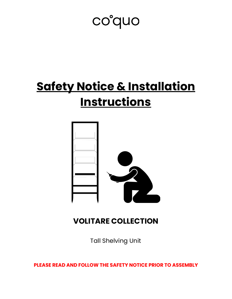# co°quo

# **Safety Notice & Installation Instructions**



# **VOLITARE COLLECTION**

Tall Shelving Unit

**PLEASE READ AND FOLLOW THE SAFETY NOTICE PRIOR TO ASSEMBLY**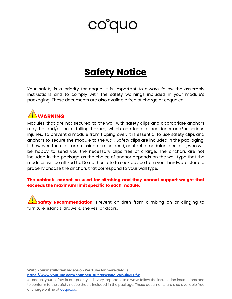# coduo

# **Safety Notice**

Your safety is a priority for coquo. It is important to always follow the assembly instructions and to comply with the safety warnings included in your module's packaging. These documents are also available free of charge at coquo.ca.



Modules that are not secured to the wall with safety clips and appropriate anchors may tip and/or be a falling hazard, which can lead to accidents and/or serious injuries. To prevent a module from tipping over, it is essential to use safety clips and anchors to secure the module to the wall. Safety clips are included in the packaging. If, however, the clips are missing or misplaced, contact a modular specialist, who will be happy to send you the necessary clips free of charge. The anchors are not included in the package as the choice of anchor depends on the wall type that the modules will be affixed to. Do not hesitate to seek advice from your hardware store to properly choose the anchors that correspond to your wall type.

#### **The cabinets cannot be used for climbing and they cannot support weight that exceeds the maximum limit specific to each module.**

**Safety Recommendation**: Prevent children from climbing on or clinging to furniture, islands, drawers, shelves, or doors.

**Watch our installation videos on YouTube for more details: [https://www.youtube.com/channel/UCiz7cfWISKgjyNpUi03Eufw.](https://www.youtube.com/channel/UCiz7cfWISKgjyNpUi03Eufw)**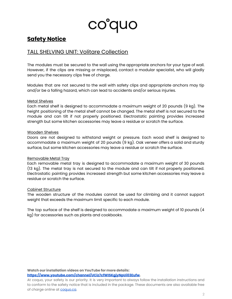

## **Safety Notice**

### TALL SHELVING UNIT: Volitare Collection

The modules must be secured to the wall using the appropriate anchors for your type of wall. However, if the clips are missing or misplaced, contact a modular specialist, who will gladly send you the necessary clips free of charge.

Modules that are not secured to the wall with safety clips and appropriate anchors may tip and/or be a falling hazard, which can lead to accidents and/or serious injuries.

#### Metal Shelves

Each metal shelf is designed to accommodate a maximum weight of 20 pounds (9 kg). The height positioning of the metal shelf cannot be changed. The metal shelf is not secured to the module and can tilt if not properly positioned. Electrostatic painting provides increased strength but some kitchen accessories may leave a residue or scratch the surface.

#### Wooden Shelves

Doors are not designed to withstand weight or pressure. Each wood shelf is designed to accommodate a maximum weight of 20 pounds (9 kg). Oak veneer offers a solid and sturdy surface, but some kitchen accessories may leave a residue or scratch the surface.

#### Removable Metal Tray

Each removable metal tray is designed to accommodate a maximum weight of 30 pounds (13 kg). The metal tray is not secured to the module and can tilt if not properly positioned. Electrostatic painting provides increased strength but some kitchen accessories may leave a residue or scratch the surface.

#### Cabinet Structure

The wooden structure of the modules cannot be used for climbing and it cannot support weight that exceeds the maximum limit specific to each module.

The top surface of the shelf is designed to accommodate a maximum weight of 10 pounds (4 kg) for accessories such as plants and cookbooks.

**Watch our installation videos on YouTube for more details: [https://www.youtube.com/channel/UCiz7cfWISKgjyNpUi03Eufw.](https://www.youtube.com/channel/UCiz7cfWISKgjyNpUi03Eufw)**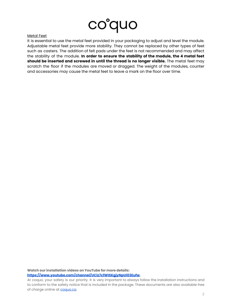

#### Metal Feet

It is essential to use the metal feet provided in your packaging to adjust and level the module. Adjustable metal feet provide more stability. They cannot be replaced by other types of feet such as casters. The addition of felt pads under the feet is not recommended and may affect the stability of the module. **In order to ensure the stability of the module, the 4 metal feet should be inserted and screwed in until the thread is no longer visible.** The metal feet may scratch the floor if the modules are moved or dragged. The weight of the modules, counter and accessories may cause the metal feet to leave a mark on the floor over time.

**Watch our installation videos on YouTube for more details: [https://www.youtube.com/channel/UCiz7cfWISKgjyNpUi03Eufw.](https://www.youtube.com/channel/UCiz7cfWISKgjyNpUi03Eufw)**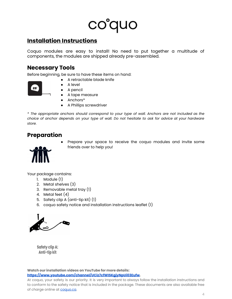# co°quo

# **Installation Instructions**

Coquo modules are easy to install! No need to put together a multitude of components, the modules are shipped already pre-assembled.

### **Necessary Tools**

Before beginning, be sure to have these items on hand:

- A retractable blade knife
- $25'$
- A level ● A pencil
- A tape measure
- Anchors\*
- A Phillips screwdriver

*\* The appropriate anchors should correspond to your type of wall. Anchors are not included as the* choice of anchor depends on your type of wall. Do not hesitate to ask for advice at your hardware *store.*

## **Preparation**

Prepare your space to receive the coquo modules and invite some friends over to help you!

Your package contains:

- 1. Module (1)
- 2. Metal shelves (3)
- 3. Removable metal tray (1)
- 4. Metal feet (4)
- 5. Safety clip A (anti-tip kit) (1)
- 6. coquo safety notice and installation instructions leaflet (1)



Safety clip A: Anti-tip kit

**Watch our installation videos on YouTube for more details: [https://www.youtube.com/channel/UCiz7cfWISKgjyNpUi03Eufw.](https://www.youtube.com/channel/UCiz7cfWISKgjyNpUi03Eufw)**